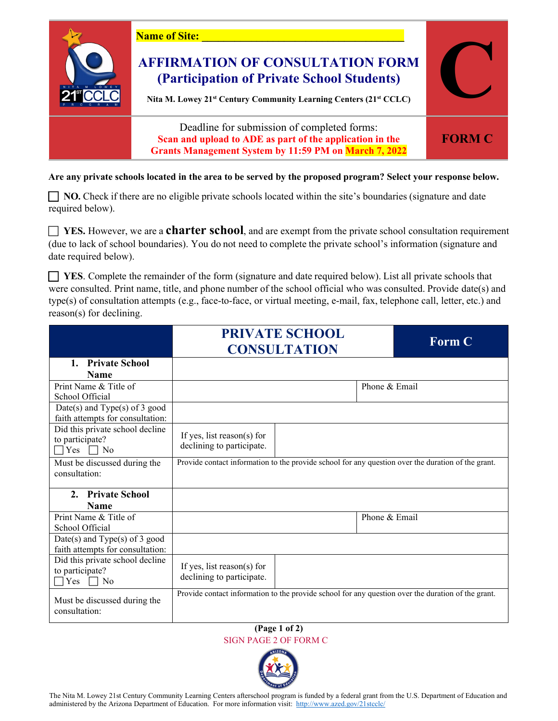

**Are any private schools located in the area to be served by the proposed program? Select your response below.** 

**NO**. Check if there are no eligible private schools located within the site's boundaries (signature and date required below).

 **YES.** However, we are a **charter school**, and are exempt from the private school consultation requirement (due to lack of school boundaries). You do not need to complete the private school's information (signature and date required below).

 **YES**. Complete the remainder of the form (signature and date required below). List all private schools that were consulted. Print name, title, and phone number of the school official who was consulted. Provide date(s) and type(s) of consultation attempts (e.g., face-to-face, or virtual meeting, e-mail, fax, telephone call, letter, etc.) and reason(s) for declining.

|                                                                                    | <b>PRIVATE SCHOOL</b><br><b>CONSULTATION</b>            |                                                                                                    | <b>Form C</b> |
|------------------------------------------------------------------------------------|---------------------------------------------------------|----------------------------------------------------------------------------------------------------|---------------|
| 1. Private School<br><b>Name</b>                                                   |                                                         |                                                                                                    |               |
| Print Name & Title of<br>School Official                                           |                                                         |                                                                                                    | Phone & Email |
| Date(s) and Type(s) of $3$ good<br>faith attempts for consultation:                |                                                         |                                                                                                    |               |
| Did this private school decline<br>to participate?<br><b>Yes</b><br>N <sub>0</sub> | If yes, list reason(s) for<br>declining to participate. |                                                                                                    |               |
| Must be discussed during the<br>consultation:                                      |                                                         | Provide contact information to the provide school for any question over the duration of the grant. |               |
| <b>Private School</b><br>$2_{-}$<br><b>Name</b>                                    |                                                         |                                                                                                    |               |
| Print Name & Title of<br>School Official                                           |                                                         |                                                                                                    | Phone & Email |
| Date(s) and $Type(s)$ of 3 good<br>faith attempts for consultation:                |                                                         |                                                                                                    |               |
| Did this private school decline<br>to participate?<br>Yes<br>No                    | If yes, list reason(s) for<br>declining to participate. |                                                                                                    |               |
| Must be discussed during the<br>consultation:                                      |                                                         | Provide contact information to the provide school for any question over the duration of the grant. |               |

**(Page 1 of 2)** SIGN PAGE 2 OF FORM C



The Nita M. Lowey 21st Century Community Learning Centers afterschool program is funded by a federal grant from the U.S. Department of Education and administered by the Arizona Department of Education. For more information visit:<http://www.azed.gov/21stcclc/>